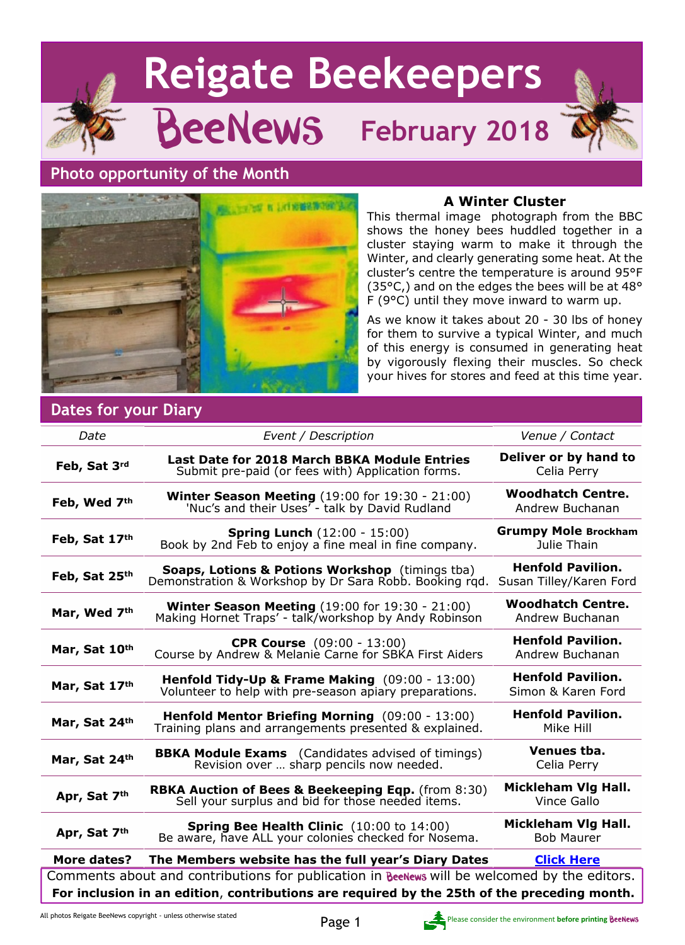# **Reigate Beekeepers** BeeNews **February 2018 Photo opportunity of the Month A Winter Cluster**



This thermal image photograph from the BBC shows the honey bees huddled together in a cluster staying warm to make it through the Winter, and clearly generating some heat. At the cluster's centre the temperature is around 95°F (35°C,) and on the edges the bees will be at 48° F (9°C) until they move inward to warm up.

As we know it takes about 20 - 30 lbs of honey for them to survive a typical Winter, and much of this energy is consumed in generating heat by vigorously flexing their muscles. So check your hives for stores and feed at this time year.

## **Dates for your Diary**

| Date                                                                                         | Event / Description                                                                                                      | Venue / Contact                                     |  |
|----------------------------------------------------------------------------------------------|--------------------------------------------------------------------------------------------------------------------------|-----------------------------------------------------|--|
| Feb, Sat 3rd                                                                                 | Last Date for 2018 March BBKA Module Entries<br>Submit pre-paid (or fees with) Application forms.                        | Deliver or by hand to<br>Celia Perry                |  |
| Feb, Wed 7th                                                                                 | <b>Winter Season Meeting</b> $(19:00$ for $19:30 - 21:00)$<br>'Nuc's and their Uses <sup>7</sup> - talk by David Rudland | <b>Woodhatch Centre.</b><br>Andrew Buchanan         |  |
| Feb, Sat 17th                                                                                | <b>Spring Lunch (12:00 - 15:00)</b><br>Book by 2nd Feb to enjoy a fine meal in fine company.                             | <b>Grumpy Mole Brockham</b><br>Julie Thain          |  |
| Feb, Sat 25th                                                                                | Soaps, Lotions & Potions Workshop (timings tba)<br>Demonstration & Workshop by Dr Sara Robb. Booking rgd.                | <b>Henfold Pavilion.</b><br>Susan Tilley/Karen Ford |  |
| Mar, Wed 7th                                                                                 | <b>Winter Season Meeting (19:00 for 19:30 - 21:00)</b><br>Making Hornet Traps' - talk/workshop by Andy Robinson          | <b>Woodhatch Centre.</b><br>Andrew Buchanan         |  |
| Mar, Sat 10th                                                                                | <b>CPR Course</b> (09:00 - 13:00)<br>Course by Andrew & Melanie Carne for SBKA First Aiders                              | <b>Henfold Pavilion.</b><br>Andrew Buchanan         |  |
| Mar, Sat 17th                                                                                | Henfold Tidy-Up & Frame Making (09:00 - 13:00)<br>Volunteer to help with pre-season apiary preparations.                 | <b>Henfold Pavilion.</b><br>Simon & Karen Ford      |  |
| Mar, Sat 24th                                                                                | Henfold Mentor Briefing Morning (09:00 - 13:00)<br>Training plans and arrangements presented & explained.                | <b>Henfold Pavilion.</b><br>Mike Hill               |  |
| Mar, Sat 24th                                                                                | <b>BBKA Module Exams</b> (Candidates advised of timings)<br>Revision over  sharp pencils now needed.                     | Venues tba.<br>Celia Perry                          |  |
| Apr, Sat 7th                                                                                 | <b>RBKA Auction of Bees &amp; Beekeeping Eqp.</b> (from 8:30)<br>Sell your surplus and bid for those needed items.       | Mickleham Vlg Hall.<br>Vince Gallo                  |  |
| Apr, Sat 7th                                                                                 | <b>Spring Bee Health Clinic</b> (10:00 to 14:00)<br>Be aware, have ALL your colonies checked for Nosema.                 | Mickleham Vlg Hall.<br><b>Bob Maurer</b>            |  |
| <b>More dates?</b>                                                                           | The Members website has the full year's Diary Dates                                                                      | <b>Click Here</b>                                   |  |
| Comments about and contributions for publication in BeeNews will be welcomed by the editors. |                                                                                                                          |                                                     |  |
| For inclusion in an edition, contributions are required by the 25th of the preceding month.  |                                                                                                                          |                                                     |  |

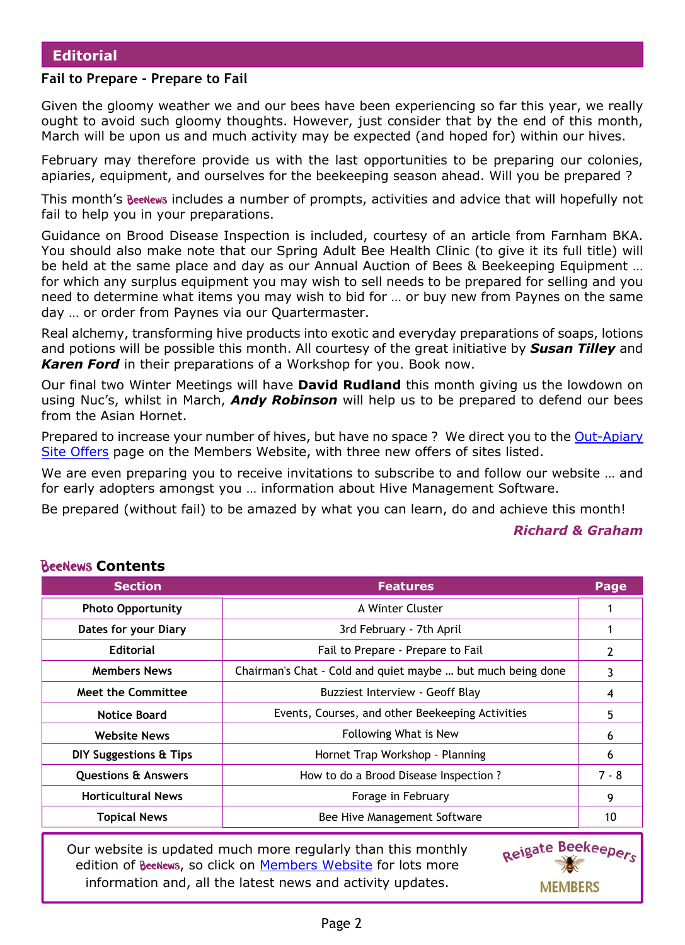#### **Fail to Prepare - Prepare to Fail**

Given the gloomy weather we and our bees have been experiencing so far this year, we really ought to avoid such gloomy thoughts. However, just consider that by the end of this month, March will be upon us and much activity may be expected (and hoped for) within our hives.

February may therefore provide us with the last opportunities to be preparing our colonies, apiaries, equipment, and ourselves for the beekeeping season ahead. Will you be prepared ?

This month's BeeNews includes a number of prompts, activities and advice that will hopefully not fail to help you in your preparations.

Guidance on Brood Disease Inspection is included, courtesy of an article from Farnham BKA. You should also make note that our Spring Adult Bee Health Clinic (to give it its full title) will be held at the same place and day as our Annual Auction of Bees & Beekeeping Equipment … for which any surplus equipment you may wish to sell needs to be prepared for selling and you need to determine what items you may wish to bid for … or buy new from Paynes on the same day … or order from Paynes via our Quartermaster.

Real alchemy, transforming hive products into exotic and everyday preparations of soaps, lotions and potions will be possible this month. All courtesy of the great initiative by *Susan Tilley* and *Karen Ford* in their preparations of a Workshop for you. Book now.

Our final two Winter Meetings will have **David Rudland** this month giving us the lowdown on using Nuc's, whilst in March, *Andy Robinson* will help us to be prepared to defend our bees from the Asian Hornet.

Prepared to increase your number of hives, but have no space ? We direct you to the [Out-Apiary](https://rbkbblog.com/category/out-apiary-offers/) [Site Offers](https://rbkbblog.com/category/out-apiary-offers/) page on the Members Website, with three new offers of sites listed.

We are even preparing you to receive invitations to subscribe to and follow our website ... and for early adopters amongst you … information about Hive Management Software.

Be prepared (without fail) to be amazed by what you can learn, do and achieve this month!

#### *Richard & Graham*

| <b>Section</b>                 | <b>Features</b>                                             | Page    |
|--------------------------------|-------------------------------------------------------------|---------|
| <b>Photo Opportunity</b>       | A Winter Cluster                                            |         |
| Dates for your Diary           | 3rd February - 7th April                                    |         |
| <b>Editorial</b>               | Fail to Prepare - Prepare to Fail                           | 2       |
| <b>Members News</b>            | Chairman's Chat - Cold and quiet maybe  but much being done | 3       |
| <b>Meet the Committee</b>      | Buzziest Interview - Geoff Blay                             | 4       |
| <b>Notice Board</b>            | Events, Courses, and other Beekeeping Activities            | 5       |
| <b>Website News</b>            | Following What is New                                       | 6       |
| DIY Suggestions & Tips         | Hornet Trap Workshop - Planning                             | 6       |
| <b>Questions &amp; Answers</b> | How to do a Brood Disease Inspection?                       | $7 - 8$ |
| <b>Horticultural News</b>      | Forage in February                                          | 9       |
| <b>Topical News</b>            | Bee Hive Management Software                                | 10      |

**Contents**

Our website is updated much more regularly than this monthly edition of BeeNews, so click on [Members Website](http://rbkbblog.com) for lots more information and, all the latest news and activity updates.

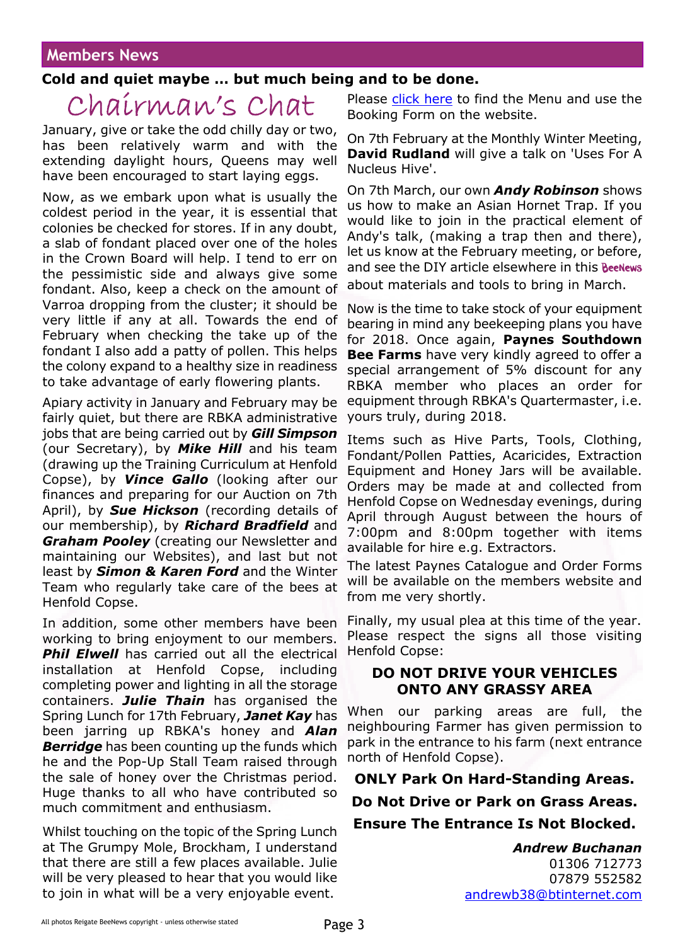### **Members News**

#### **Cold and quiet maybe … but much being and to be done.**

## Chairman's Chat

January, give or take the odd chilly day or two, has been relatively warm and with the extending daylight hours, Queens may well have been encouraged to start laying eggs.

Now, as we embark upon what is usually the coldest period in the year, it is essential that colonies be checked for stores. If in any doubt, a slab of fondant placed over one of the holes in the Crown Board will help. I tend to err on the pessimistic side and always give some fondant. Also, keep a check on the amount of Varroa dropping from the cluster; it should be very little if any at all. Towards the end of February when checking the take up of the fondant I also add a patty of pollen. This helps the colony expand to a healthy size in readiness to take advantage of early flowering plants.

Apiary activity in January and February may be fairly quiet, but there are RBKA administrative jobs that are being carried out by *Gill Simpson* (our Secretary), by *Mike Hill* and his team (drawing up the Training Curriculum at Henfold Copse), by *Vince Gallo* (looking after our finances and preparing for our Auction on 7th April), by *Sue Hickson* (recording details of our membership), by *Richard Bradfield* and *Graham Pooley* (creating our Newsletter and maintaining our Websites), and last but not least by *Simon & Karen Ford* and the Winter Team who regularly take care of the bees at Henfold Copse.

In addition, some other members have been working to bring enjoyment to our members. **Phil Elwell** has carried out all the electrical installation at Henfold Copse, including completing power and lighting in all the storage containers. *Julie Thain* has organised the Spring Lunch for 17th February, *Janet Kay* has been jarring up RBKA's honey and *Alan Berridge* has been counting up the funds which he and the Pop-Up Stall Team raised through the sale of honey over the Christmas period. Huge thanks to all who have contributed so much commitment and enthusiasm.

Whilst touching on the topic of the Spring Lunch at The Grumpy Mole, Brockham, I understand that there are still a few places available. Julie will be very pleased to hear that you would like to join in what will be a very enjoyable event.

Please [click here](https://rbkbblog.com/2017/10/31/spring-lunch-17th-february-2018-make-it-a-date/) to find the Menu and use the Booking Form on the website.

On 7th February at the Monthly Winter Meeting, **David Rudland** will give a talk on 'Uses For A Nucleus Hive'.

On 7th March, our own *Andy Robinson* shows us how to make an Asian Hornet Trap. If you would like to join in the practical element of Andy's talk, (making a trap then and there), let us know at the February meeting, or before, and see the DIY article elsewhere in this **BeeNews** about materials and tools to bring in March.

Now is the time to take stock of your equipment bearing in mind any beekeeping plans you have for 2018. Once again, **Paynes Southdown Bee Farms** have very kindly agreed to offer a special arrangement of 5% discount for any RBKA member who places an order for equipment through RBKA's Quartermaster, i.e. yours truly, during 2018.

Items such as Hive Parts, Tools, Clothing, Fondant/Pollen Patties, Acaricides, Extraction Equipment and Honey Jars will be available. Orders may be made at and collected from Henfold Copse on Wednesday evenings, during April through August between the hours of 7:00pm and 8:00pm together with items available for hire e.g. Extractors.

The latest Paynes Catalogue and Order Forms will be available on the members website and from me very shortly.

Finally, my usual plea at this time of the year. Please respect the signs all those visiting Henfold Copse:

#### **DO NOT DRIVE YOUR VEHICLES ONTO ANY GRASSY AREA**

When our parking areas are full, the neighbouring Farmer has given permission to park in the entrance to his farm (next entrance north of Henfold Copse).

**ONLY Park On Hard-Standing Areas.**

## **Do Not Drive or Park on Grass Areas.**

#### **Ensure The Entrance Is Not Blocked.**

*Andrew Buchanan* 01306 712773 07879 552582 [andrewb38@btinternet.com](mailto:andrewb38@btinternet.com)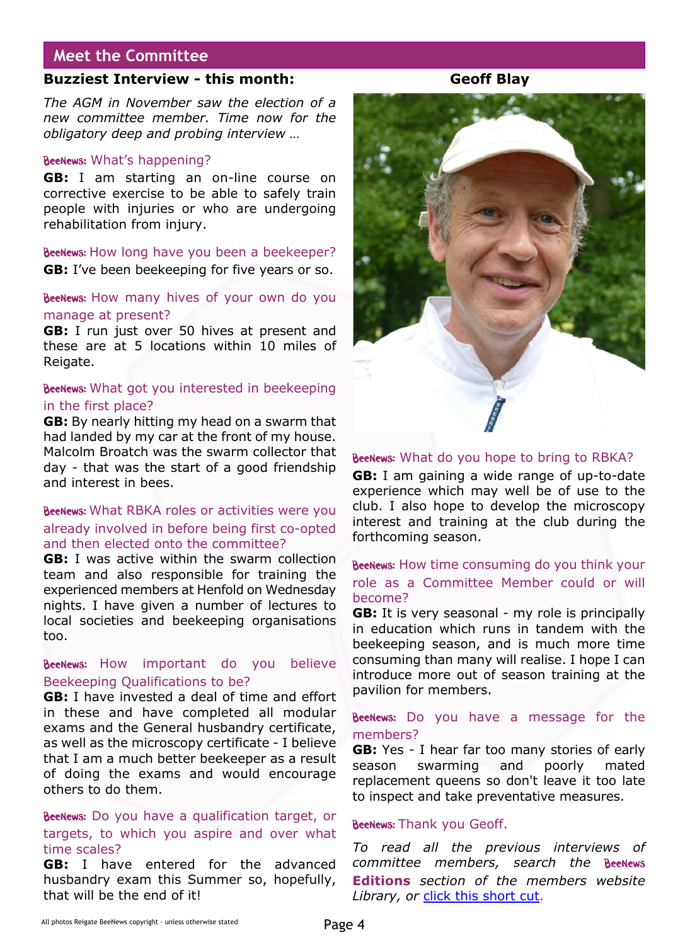#### **Meet the Committee**

#### **Buzziest Interview - this month: Geoff Blay**

*The AGM in November saw the election of a new committee member. Time now for the obligatory deep and probing interview …*

#### BeeNews: What's happening?

**GB:** I am starting an on-line course on corrective exercise to be able to safely train people with injuries or who are undergoing rehabilitation from injury.

BeeNews: How long have you been a beekeeper? **GB:** I've been beekeeping for five years or so.

#### BeeNews: How many hives of your own do you manage at present?

**GB:** I run just over 50 hives at present and these are at 5 locations within 10 miles of Reigate.

#### BeeNews: What got you interested in beekeeping in the first place?

**GB:** By nearly hitting my head on a swarm that had landed by my car at the front of my house. Malcolm Broatch was the swarm collector that day - that was the start of a good friendship and interest in bees.

#### BeeNews: What RBKA roles or activities were you already involved in before being first co-opted and then elected onto the committee?

**GB:** I was active within the swarm collection team and also responsible for training the experienced members at Henfold on Wednesday nights. I have given a number of lectures to local societies and beekeeping organisations too.

#### BeeNews: How important do you believe Beekeeping Qualifications to be?

**GB:** I have invested a deal of time and effort in these and have completed all modular exams and the General husbandry certificate, as well as the microscopy certificate - I believe that I am a much better beekeeper as a result of doing the exams and would encourage others to do them.

#### BeeNews: Do you have a qualification target, or targets, to which you aspire and over what time scales?

**GB:** I have entered for the advanced husbandry exam this Summer so, hopefully, that will be the end of it!



#### BeeNews: What do you hope to bring to RBKA?

**GB:** I am gaining a wide range of up-to-date experience which may well be of use to the club. I also hope to develop the microscopy interest and training at the club during the forthcoming season.

#### BeeNews: How time consuming do you think your role as a Committee Member could or will become?

**GB:** It is very seasonal - my role is principally in education which runs in tandem with the beekeeping season, and is much more time consuming than many will realise. I hope I can introduce more out of season training at the pavilion for members.

#### BeeNews: Do you have a message for the members?

**GB:** Yes - I hear far too many stories of early season swarming and poorly mated replacement queens so don't leave it too late to inspect and take preventative measures.

#### BeeNews: Thank you Geoff.

*To read all the previous interviews of committee members, search the* **Editions** *section of the members website Library, or* [click this short cut](https://rbkbblog.com/?s=Meet+the+Committee).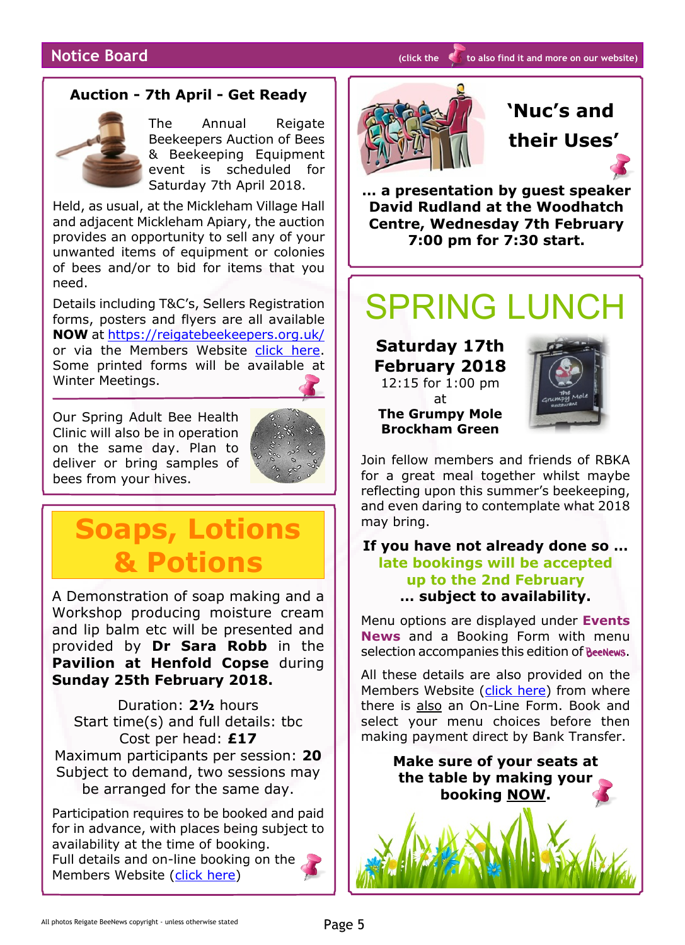#### **Auction - 7th April - Get Ready**



The Annual Reigate Beekeepers Auction of Bees & Beekeeping Equipment event is scheduled for Saturday 7th April 2018.

Held, as usual, at the Mickleham Village Hall and adjacent Mickleham Apiary, the auction provides an opportunity to sell any of your unwanted items of equipment or colonies of bees and/or to bid for items that you need.

Details including T&C's, Sellers Registration forms, posters and flyers are all available **NOW** at <https://reigatebeekeepers.org.uk/> or via the Members Website [click here](https://rbkbblog.com/2017/12/28/reigate-auction-of-bees-beekeeping-equipment-7th-april-2018/). Some printed forms will be available at Winter Meetings.

Our Spring Adult Bee Health Clinic will also be in operation on the same day. Plan to deliver or bring samples of bees from your hives.



## **Soaps, Lotions & Potions**

A Demonstration of soap making and a Workshop producing moisture cream and lip balm etc will be presented and provided by **Dr Sara Robb** in the **Pavilion at Henfold Copse** during **Sunday 25th February 2018.**

Duration: **2½** hours Start time(s) and full details: tbc Cost per head: **£17** Maximum participants per session: **20** Subject to demand, two sessions may be arranged for the same day.

Participation requires to be booked and paid for in advance, with places being subject to availability at the time of booking. Full details and on-line booking on the Members Website [\(click here\)](https://rbkbblog.com/2018/01/07/soaps-lotions-potions-demonstration-workshop-by-dr-sara-robb/)



## **'Nuc's and their Uses'**

**… a presentation by guest speaker David Rudland at the Woodhatch Centre, Wednesday 7th February 7:00 pm for 7:30 start.**

# SPRING LUNCH

**Saturday 17th February 2018** 12:15 for 1:00 pm

at

**The Grumpy Mole Brockham Green**

Join fellow members and friends of RBKA for a great meal together whilst maybe reflecting upon this summer's beekeeping, and even daring to contemplate what 2018 may bring.

#### **If you have not already done so … late bookings will be accepted up to the 2nd February … subject to availability.**

Menu options are displayed under **Events News** and a Booking Form with menu selection accompanies this edition of BeeNews.

All these details are also provided on the Members Website ([click here\)](https://rbkbblog.com/2017/10/31/spring-lunch-17th-february-2018-make-it-a-date/) from where there is also an On-Line Form. Book and select your menu choices before then making payment direct by Bank Transfer.

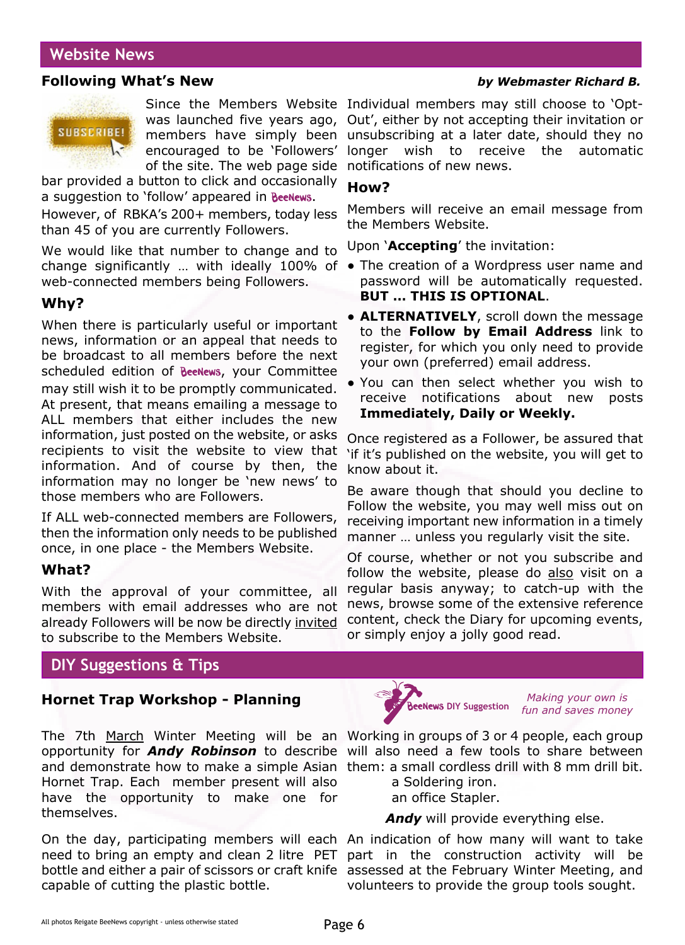### **Website News**

#### **Following What's New** *by Webmaster Richard B.*



members have simply been encouraged to be 'Followers' of the site. The web page side

bar provided a button to click and occasionally a suggestion to 'follow' appeared in Beenews.

However, of RBKA's 200+ members, today less than 45 of you are currently Followers.

We would like that number to change and to change significantly … with ideally 100% of ● The creation of a Wordpress user name and web-connected members being Followers.

#### **Why?**

When there is particularly useful or important news, information or an appeal that needs to be broadcast to all members before the next scheduled edition of **BeeNews**, your Committee may still wish it to be promptly communicated. At present, that means emailing a message to ALL members that either includes the new information, just posted on the website, or asks recipients to visit the website to view that information. And of course by then, the information may no longer be 'new news' to those members who are Followers.

If ALL web-connected members are Followers, then the information only needs to be published once, in one place - the Members Website.

#### **What?**

With the approval of your committee, all members with email addresses who are not already Followers will be now be directly invited to subscribe to the Members Website.

#### **DIY Suggestions & Tips**

#### **Hornet Trap Workshop - Planning**

The 7th March Winter Meeting will be an Working in groups of 3 or 4 people, each group opportunity for *Andy Robinson* to describe will also need a few tools to share between and demonstrate how to make a simple Asian them: a small cordless drill with 8 mm drill bit. Hornet Trap. Each member present will also have the opportunity to make one for themselves.

On the day, participating members will each An indication of how many will want to take need to bring an empty and clean 2 litre PET part in the construction activity will be bottle and either a pair of scissors or craft knife assessed at the February Winter Meeting, and capable of cutting the plastic bottle.

Since the Members Website Individual members may still choose to 'Optwas launched five years ago, Out', either by not accepting their invitation or unsubscribing at a later date, should they no longer wish to receive the automatic notifications of new news.

#### **How?**

Members will receive an email message from the Members Website.

Upon '**Accepting**' the invitation:

- password will be automatically requested. **BUT … THIS IS OPTIONAL**.
- **ALTERNATIVELY**, scroll down the message to the **Follow by Email Address** link to register, for which you only need to provide your own (preferred) email address.
- You can then select whether you wish to receive notifications about new posts **Immediately, Daily or Weekly.**

Once registered as a Follower, be assured that 'if it's published on the website, you will get to know about it.

Be aware though that should you decline to Follow the website, you may well miss out on receiving important new information in a timely manner … unless you regularly visit the site.

Of course, whether or not you subscribe and follow the website, please do also visit on a regular basis anyway; to catch-up with the news, browse some of the extensive reference content, check the Diary for upcoming events, or simply enjoy a jolly good read.



*Making your own is fun and saves money*

 a Soldering iron. an office Stapler.

Andy will provide everything else.

volunteers to provide the group tools sought.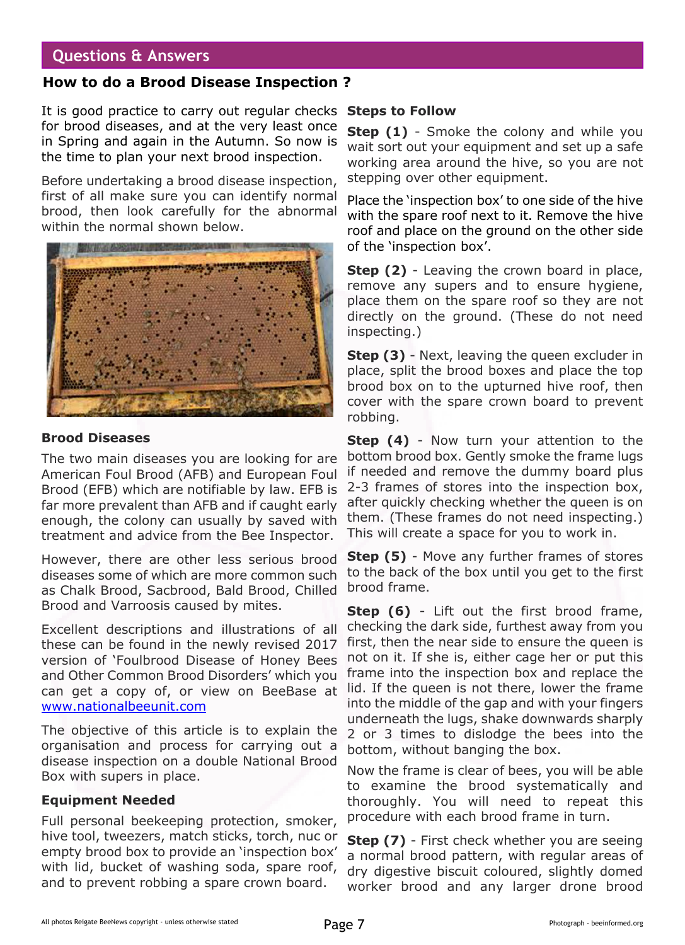#### **Questions & Answers**

#### **How to do a Brood Disease Inspection ?**

It is good practice to carry out regular checks **Steps to Follow** for brood diseases, and at the very least once in Spring and again in the Autumn. So now is the time to plan your next brood inspection.

Before undertaking a brood disease inspection, first of all make sure you can identify normal brood, then look carefully for the abnormal within the normal shown below.



#### **Brood Diseases**

The two main diseases you are looking for are American Foul Brood (AFB) and European Foul Brood (EFB) which are notifiable by law. EFB is far more prevalent than AFB and if caught early enough, the colony can usually by saved with treatment and advice from the Bee Inspector.

However, there are other less serious brood diseases some of which are more common such as Chalk Brood, Sacbrood, Bald Brood, Chilled Brood and Varroosis caused by mites.

Excellent descriptions and illustrations of all these can be found in the newly revised 2017 version of 'Foulbrood Disease of Honey Bees and Other Common Brood Disorders' which you can get a copy of, or view on BeeBase at [www.nationalbeeunit.com](http://www.nationalbeeunit.com )

The objective of this article is to explain the organisation and process for carrying out a disease inspection on a double National Brood Box with supers in place.

#### **Equipment Needed**

Full personal beekeeping protection, smoker, hive tool, tweezers, match sticks, torch, nuc or empty brood box to provide an 'inspection box' with lid, bucket of washing soda, spare roof, and to prevent robbing a spare crown board.

**Step (1)** - Smoke the colony and while you wait sort out your equipment and set up a safe working area around the hive, so you are not stepping over other equipment.

Place the 'inspection box' to one side of the hive with the spare roof next to it. Remove the hive roof and place on the ground on the other side of the 'inspection box'.

**Step (2)** - Leaving the crown board in place, remove any supers and to ensure hygiene, place them on the spare roof so they are not directly on the ground. (These do not need inspecting.)

**Step (3)** - Next, leaving the queen excluder in place, split the brood boxes and place the top brood box on to the upturned hive roof, then cover with the spare crown board to prevent robbing.

**Step (4)** - Now turn your attention to the bottom brood box. Gently smoke the frame lugs if needed and remove the dummy board plus 2-3 frames of stores into the inspection box, after quickly checking whether the queen is on them. (These frames do not need inspecting.) This will create a space for you to work in.

**Step (5)** - Move any further frames of stores to the back of the box until you get to the first brood frame.

**Step (6)** - Lift out the first brood frame, checking the dark side, furthest away from you first, then the near side to ensure the queen is not on it. If she is, either cage her or put this frame into the inspection box and replace the lid. If the queen is not there, lower the frame into the middle of the gap and with your fingers underneath the lugs, shake downwards sharply 2 or 3 times to dislodge the bees into the bottom, without banging the box.

Now the frame is clear of bees, you will be able to examine the brood systematically and thoroughly. You will need to repeat this procedure with each brood frame in turn.

**Step (7)** - First check whether you are seeing a normal brood pattern, with regular areas of dry digestive biscuit coloured, slightly domed worker brood and any larger drone brood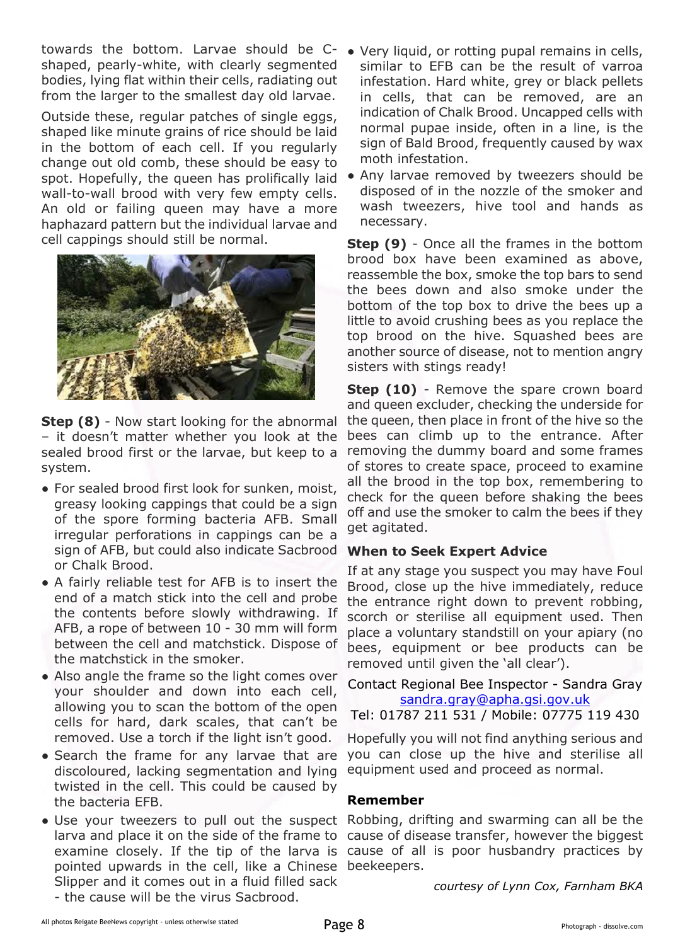towards the bottom. Larvae should be C-● Very liquid, or rotting pupal remains in cells, shaped, pearly-white, with clearly segmented bodies, lying flat within their cells, radiating out from the larger to the smallest day old larvae.

Outside these, regular patches of single eggs, shaped like minute grains of rice should be laid in the bottom of each cell. If you regularly change out old comb, these should be easy to spot. Hopefully, the queen has prolifically laid wall-to-wall brood with very few empty cells. An old or failing queen may have a more haphazard pattern but the individual larvae and cell cappings should still be normal.



**Step (8)** - Now start looking for the abnormal – it doesn't matter whether you look at the sealed brood first or the larvae, but keep to a system.

- For sealed brood first look for sunken, moist, greasy looking cappings that could be a sign of the spore forming bacteria AFB. Small irregular perforations in cappings can be a sign of AFB, but could also indicate Sacbrood or Chalk Brood.
- A fairly reliable test for AFB is to insert the end of a match stick into the cell and probe the contents before slowly withdrawing. If AFB, a rope of between 10 - 30 mm will form between the cell and matchstick. Dispose of the matchstick in the smoker.
- Also angle the frame so the light comes over your shoulder and down into each cell, allowing you to scan the bottom of the open cells for hard, dark scales, that can't be removed. Use a torch if the light isn't good.
- Search the frame for any larvae that are discoloured, lacking segmentation and lying twisted in the cell. This could be caused by the bacteria EFB.
- Use your tweezers to pull out the suspect Robbing, drifting and swarming can all be the pointed upwards in the cell, like a Chinese beekeepers. Slipper and it comes out in a fluid filled sack - the cause will be the virus Sacbrood.
- similar to EFB can be the result of varroa infestation. Hard white, grey or black pellets in cells, that can be removed, are an indication of Chalk Brood. Uncapped cells with normal pupae inside, often in a line, is the sign of Bald Brood, frequently caused by wax moth infestation.
- Any larvae removed by tweezers should be disposed of in the nozzle of the smoker and wash tweezers, hive tool and hands as necessary.

**Step (9)** - Once all the frames in the bottom brood box have been examined as above, reassemble the box, smoke the top bars to send the bees down and also smoke under the bottom of the top box to drive the bees up a little to avoid crushing bees as you replace the top brood on the hive. Squashed bees are another source of disease, not to mention angry sisters with stings ready!

**Step (10)** - Remove the spare crown board and queen excluder, checking the underside for the queen, then place in front of the hive so the bees can climb up to the entrance. After removing the dummy board and some frames of stores to create space, proceed to examine all the brood in the top box, remembering to check for the queen before shaking the bees off and use the smoker to calm the bees if they get agitated.

#### **When to Seek Expert Advice**

If at any stage you suspect you may have Foul Brood, close up the hive immediately, reduce the entrance right down to prevent robbing, scorch or sterilise all equipment used. Then place a voluntary standstill on your apiary (no bees, equipment or bee products can be removed until given the 'all clear').

Contact Regional Bee Inspector - Sandra Gray [sandra.gray@apha.gsi.gov.uk](mailto:sandra.gray@apha.gsi.gov.uk)

Tel: 01787 211 531 / Mobile: 07775 119 430

Hopefully you will not find anything serious and you can close up the hive and sterilise all equipment used and proceed as normal.

#### **Remember**

larva and place it on the side of the frame to cause of disease transfer, however the biggest examine closely. If the tip of the larva is cause of all is poor husbandry practices by

*courtesy of Lynn Cox, Farnham BKA*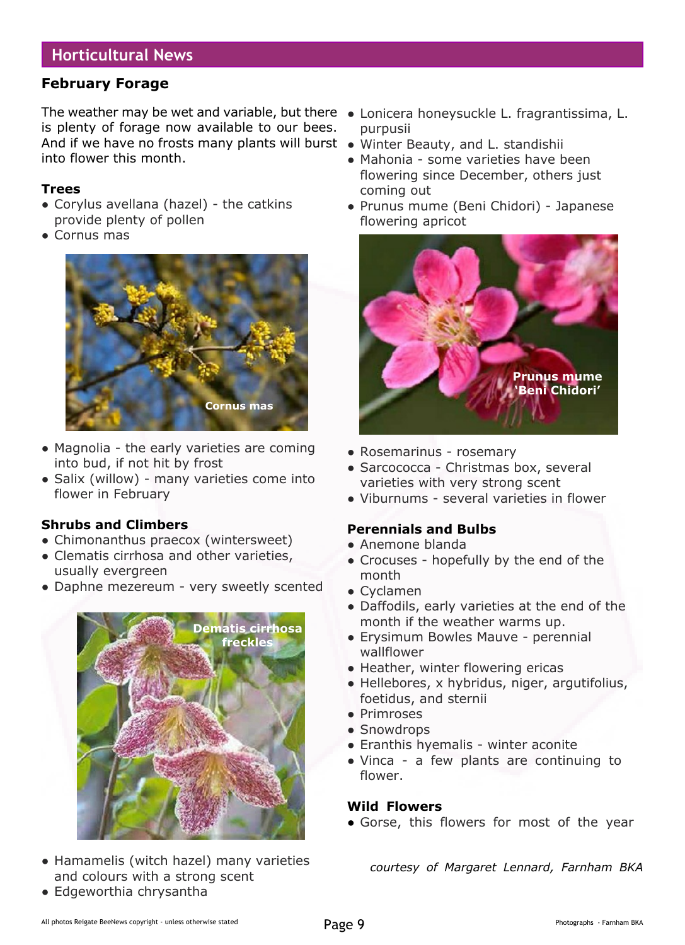## **Horticultural News**

#### **February Forage**

The weather may be wet and variable, but there ● Lonicera honeysuckle L. fragrantissima, L. is plenty of forage now available to our bees. And if we have no frosts many plants will burst ● Winter Beauty, and L. standishii into flower this month.

#### **Trees**

- Corylus avellana (hazel) the catkins provide plenty of pollen
- Cornus mas



- Magnolia the early varieties are coming into bud, if not hit by frost
- Salix (willow) many varieties come into flower in February

#### **Shrubs and Climbers**

- Chimonanthus praecox (wintersweet)
- Clematis cirrhosa and other varieties, usually evergreen
- Daphne mezereum very sweetly scented



- Hamamelis (witch hazel) many varieties and colours with a strong scent
- Edgeworthia chrysantha
- purpusii
- 
- Mahonia some varieties have been flowering since December, others just coming out
- Prunus mume (Beni Chidori) Japanese flowering apricot



- Rosemarinus rosemary
- Sarcococca Christmas box, several varieties with very strong scent
- Viburnums several varieties in flower

#### **Perennials and Bulbs**

- Anemone blanda
- Crocuses hopefully by the end of the month
- Cyclamen
- Daffodils, early varieties at the end of the month if the weather warms up.
- Erysimum Bowles Mauve perennial wallflower
- Heather, winter flowering ericas
- Hellebores, x hybridus, niger, argutifolius, foetidus, and sternii
- Primroses
- Snowdrops
- Eranthis hyemalis winter aconite
- Vinca a few plants are continuing to flower.

#### **Wild Flowers**

• Gorse, this flowers for most of the year

*courtesy of Margaret Lennard, Farnham BKA*